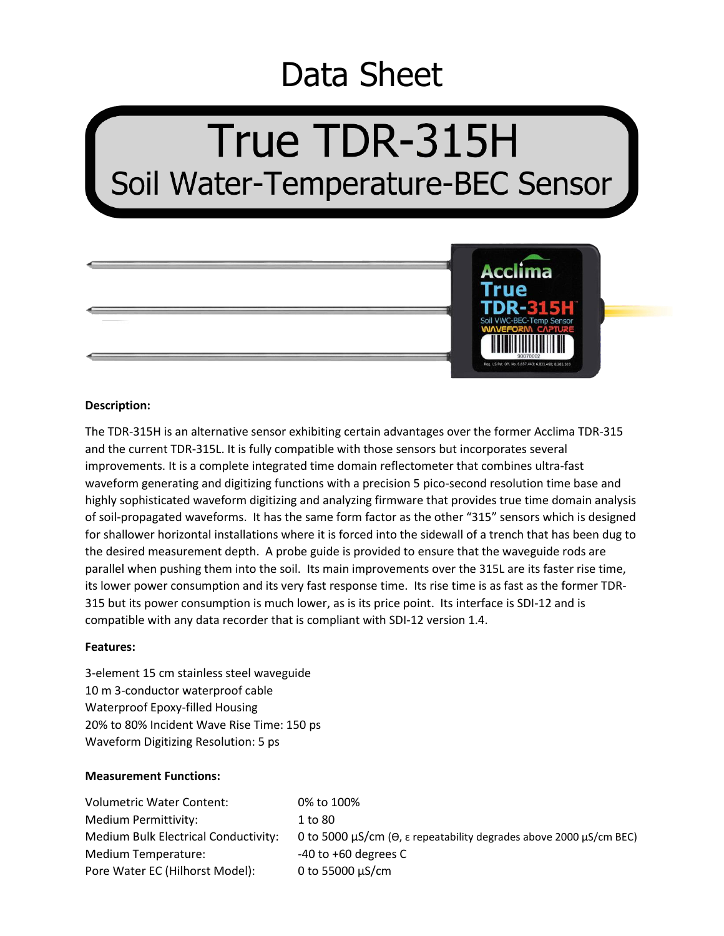# Data Sheet

# True TDR-315H Soil Water-Temperature-BEC Sensor



#### **Description:**

The TDR-315H is an alternative sensor exhibiting certain advantages over the former Acclima TDR-315 and the current TDR-315L. It is fully compatible with those sensors but incorporates several improvements. It is a complete integrated time domain reflectometer that combines ultra-fast waveform generating and digitizing functions with a precision 5 pico-second resolution time base and highly sophisticated waveform digitizing and analyzing firmware that provides true time domain analysis of soil-propagated waveforms. It has the same form factor as the other "315" sensors which is designed for shallower horizontal installations where it is forced into the sidewall of a trench that has been dug to the desired measurement depth. A probe guide is provided to ensure that the waveguide rods are parallel when pushing them into the soil. Its main improvements over the 315L are its faster rise time, its lower power consumption and its very fast response time. Its rise time is as fast as the former TDR-315 but its power consumption is much lower, as is its price point. Its interface is SDI-12 and is compatible with any data recorder that is compliant with SDI-12 version 1.4.

# **Features:**

3-element 15 cm stainless steel waveguide 10 m 3-conductor waterproof cable Waterproof Epoxy-filled Housing 20% to 80% Incident Wave Rise Time: 150 ps Waveform Digitizing Resolution: 5 ps

# **Measurement Functions:**

| Volumetric Water Content:            | 0% to 100%                                                                                     |
|--------------------------------------|------------------------------------------------------------------------------------------------|
| Medium Permittivity:                 | 1 to 80                                                                                        |
| Medium Bulk Electrical Conductivity: | 0 to 5000 $\mu$ S/cm ( $\Theta$ , $\epsilon$ repeatability degrades above 2000 $\mu$ S/cm BEC) |
| Medium Temperature:                  | $-40$ to $+60$ degrees C                                                                       |
| Pore Water EC (Hilhorst Model):      | 0 to 55000 $\mu$ S/cm                                                                          |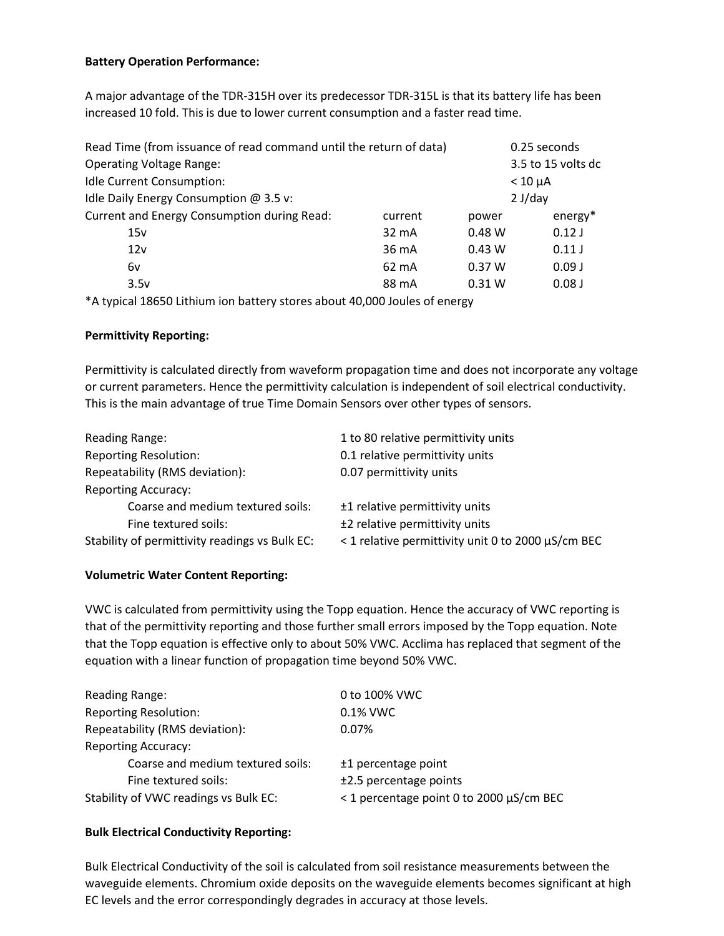# **Battery Operation Performance:**

A major advantage of the TDR-315H over its predecessor TDR-315L is that its battery life has been increased 10 fold. This is due to lower current consumption and a faster read time.

| Read Time (from issuance of read command until the return of data) |                 |                   | 0.25 seconds       |
|--------------------------------------------------------------------|-----------------|-------------------|--------------------|
| <b>Operating Voltage Range:</b>                                    |                 |                   | 3.5 to 15 volts dc |
| Idle Current Consumption:                                          |                 |                   | $< 10 \mu A$       |
| Idle Daily Energy Consumption @ 3.5 v:                             |                 |                   | 2 J/day            |
| Current and Energy Consumption during Read:                        | current         | power             | $energy*$          |
| 15v                                                                | 32 mA           | 0.48 W            | 0.12J              |
| 12v                                                                | 36 mA           | 0.43 W            | 0.11J              |
| 6v                                                                 | $62 \text{ mA}$ | 0.37W             | 0.09J              |
| 3.5v                                                               | 88 mA           | 0.31 <sub>W</sub> | 0.08 <sub>J</sub>  |
|                                                                    |                 |                   |                    |

\*A typical 18650 Lithium ion battery stores about 40,000 Joules of energy

# **Permittivity Reporting:**

Permittivity is calculated directly from waveform propagation time and does not incorporate any voltage or current parameters. Hence the permittivity calculation is independent of soil electrical conductivity. This is the main advantage of true Time Domain Sensors over other types of sensors.

| Reading Range:                                 | 1 to 80 relative permittivity units                |
|------------------------------------------------|----------------------------------------------------|
| <b>Reporting Resolution:</b>                   | 0.1 relative permittivity units                    |
| Repeatability (RMS deviation):                 | 0.07 permittivity units                            |
| <b>Reporting Accuracy:</b>                     |                                                    |
| Coarse and medium textured soils:              | ±1 relative permittivity units                     |
| Fine textured soils:                           | ±2 relative permittivity units                     |
| Stability of permittivity readings vs Bulk EC: | < 1 relative permittivity unit 0 to 2000 µS/cm BEC |

# **Volumetric Water Content Reporting:**

VWC is calculated from permittivity using the Topp equation. Hence the accuracy of VWC reporting is that of the permittivity reporting and those further small errors imposed by the Topp equation. Note that the Topp equation is effective only to about 50% VWC. Acclima has replaced that segment of the equation with a linear function of propagation time beyond 50% VWC.

| Reading Range:                        | 0 to 100% VWC                            |
|---------------------------------------|------------------------------------------|
| <b>Reporting Resolution:</b>          | 0.1% VWC                                 |
| Repeatability (RMS deviation):        | 0.07%                                    |
| <b>Reporting Accuracy:</b>            |                                          |
| Coarse and medium textured soils:     | ±1 percentage point                      |
| Fine textured soils:                  | $±2.5$ percentage points                 |
| Stability of VWC readings vs Bulk EC: | < 1 percentage point 0 to 2000 µS/cm BEC |

# **Bulk Electrical Conductivity Reporting:**

Bulk Electrical Conductivity of the soil is calculated from soil resistance measurements between the waveguide elements. Chromium oxide deposits on the waveguide elements becomes significant at high EC levels and the error correspondingly degrades in accuracy at those levels.